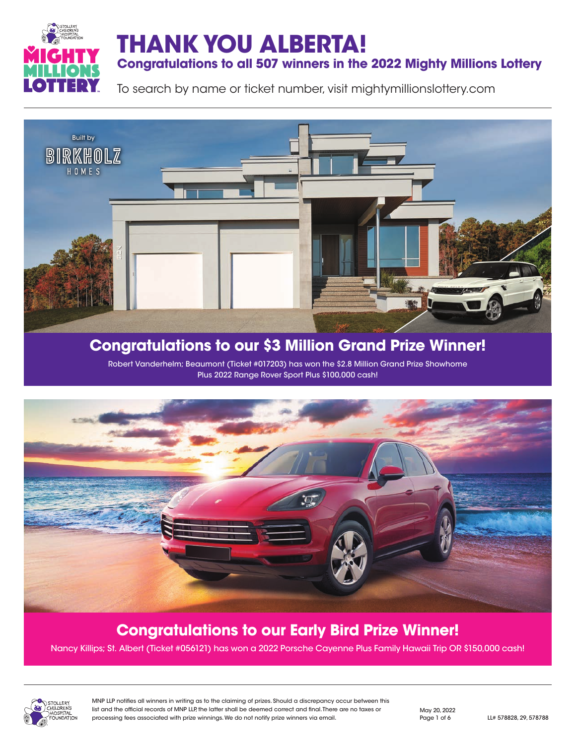

### **Congratulations to all 507 winners in the 2022 Mighty Millions Lottery**

To search by name or ticket number, visit mightymillionslottery.com



# **Congratulations to our \$3 Million Grand Prize Winner!**

Robert Vanderhelm; Beaumont (Ticket #017203) has won the \$2.8 Million Grand Prize Showhome Plus 2022 Range Rover Sport Plus \$100,000 cash!



## **Congratulations to our Early Bird Prize Winner!**

Nancy Killips; St. Albert (Ticket #056121) has won a 2022 Porsche Cayenne Plus Family Hawaii Trip OR \$150,000 cash!



MNP LLP notifies all winners in writing as to the claiming of prizes. Should a discrepancy occur between this list and the official records of MNP LLP, the latter shall be deemed correct and final. There are no taxes or processing fees associated with prize winnings. We do not notify prize winners via email. Page 1 of 6 LL# 578828, 29, 578788

May 20, 2022 Page 1 of 6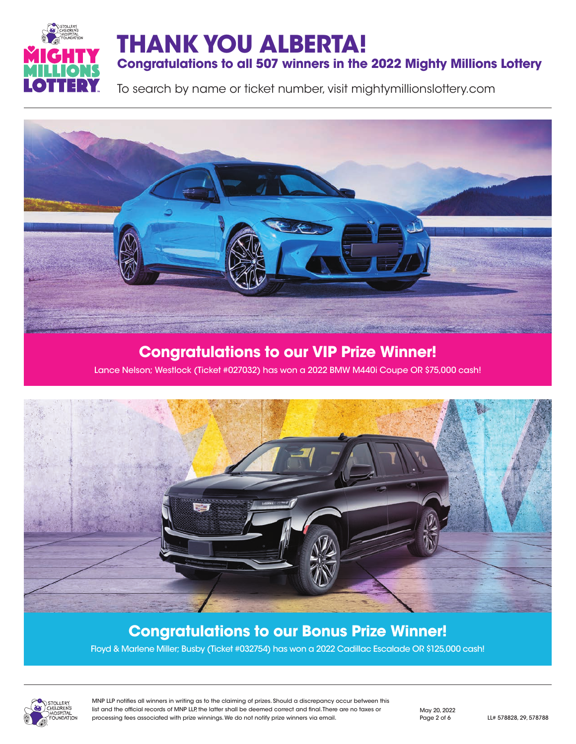

## **Congratulations to all 507 winners in the 2022 Mighty Millions Lottery**

To search by name or ticket number, visit mightymillionslottery.com



### **Congratulations to our VIP Prize Winner!**

Lance Nelson; Westlock (Ticket #027032) has won a 2022 BMW M440i Coupe OR \$75,000 cash!



### **Congratulations to our Bonus Prize Winner!**

Floyd & Marlene Miller; Busby (Ticket #032754) has won a 2022 Cadillac Escalade OR \$125,000 cash!



MNP LLP notifies all winners in writing as to the claiming of prizes. Should a discrepancy occur between this list and the official records of MNP LLP, the latter shall be deemed correct and final. There are no taxes or processing fees associated with prize winnings. We do not notify prize winners via email. Page 2 of 6 LL# 578828, 29, 578788

May 20, 2022 Page 2 of 6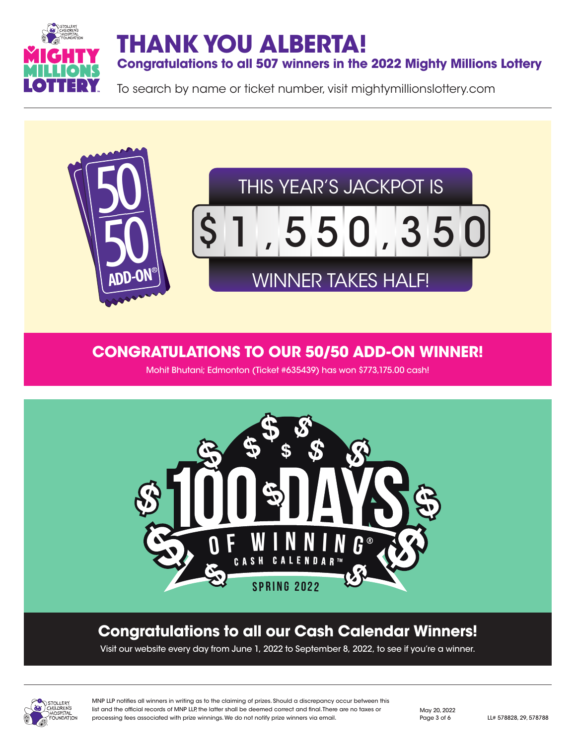

**Congratulations to all 507 winners in the 2022 Mighty Millions Lottery**

To search by name or ticket number, visit mightymillionslottery.com



### **CONGRATULATIONS TO OUR 50/50 ADD-ON WINNER!**

Mohit Bhutani; Edmonton (Ticket #635439) has won \$773,175.00 cash!



## **Congratulations to all our Cash Calendar Winners!**

Visit our website every day from June 1, 2022 to September 8, 2022, to see if you're a winner.



MNP LLP notifies all winners in writing as to the claiming of prizes. Should a discrepancy occur between this list and the official records of MNP LLP, the latter shall be deemed correct and final. There are no taxes or processing fees associated with prize winnings. We do not notify prize winners via email. Page 3 of 6 LL# 578828, 29, 578788

May 20, 2022 Page 3 of 6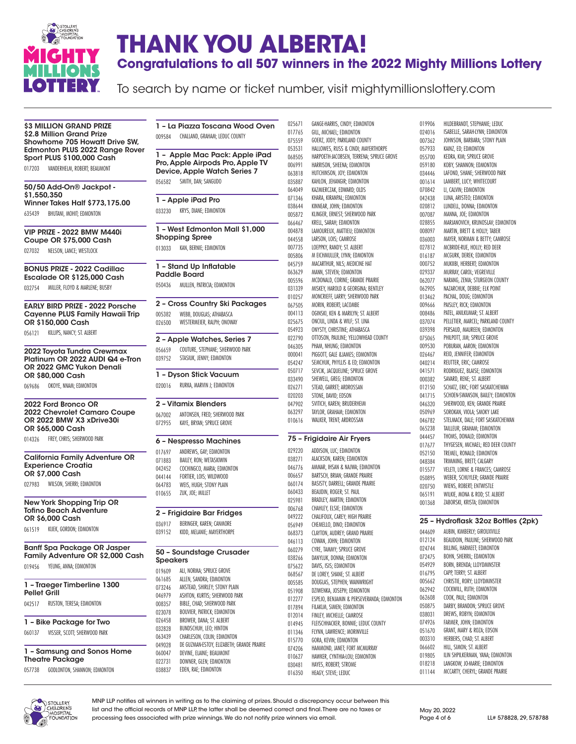

# **THANK YOU ALBERTA! Congratulations to all 507 winners in the 2022 Mighty Millions Lottery**

To search by name or ticket number, visit mightymillionslottery.com

**\$3 MILLION GRAND PRIZE** \$2.8 Million Grand Prize Showhome 705 Howatt Drive SW, Edmonton PLUS 2022 Range Rover Sport PLUS \$100,000 Cash

017203 VANDERHELM, ROBERT; BEAUMONT

50/50 Add-On® Jackpot - \$1,550,350 Winner Takes Half \$773,175.00

635439 BHUTANI, MOHIT; EDMONTON

VIP PRIZE - 2022 BMW M440i Coupe OR \$75,000 Cash

027032 NELSON, LANCE; WESTLOCK

BONUS PRIZE - 2022 Cadillac Escalade OR \$125,000 Cash

032754 MILLER, FLOYD & MARLENE; BUSBY

EARLY BIRD PRIZE - 2022 Porsche Cayenne PLUS Family Hawaii Trip OR \$150,000 Cash

056121 KILLIPS, NANCY; ST. ALBERT

#### 2022 Toyota Tundra Crewmax Platinum OR 2022 AUDI Q4 e-Tron OR 2022 GMC Yukon Denali OR \$80,000 Cash

069686 OKOYE, NNAM; EDMONTON

2022 Ford Bronco OR 2022 Chevrolet Camaro Coupe OR 2022 BMW X3 xDrive30i OR \$65,000 Cash

014326 FREY, CHRIS; SHERWOOD PARK

#### California Family Adventure OR Experience Croatia OR \$7,000 Cash

027983 WILSON, SHERRI; EDMONTON

New York Shopping Trip OR Tofino Beach Adventure OR \$6,000 Cash

061519 KIJEK, GORDON; EDMONTON

Banff Spa Package OR Jasper Family Adventure OR \$2,000 Cash 019456 YEUNG, ANNA; EDMONTON

1 – Traeger Timberline 1300 Pellet Grill

042517 RUSTON, TERESA; EDMONTON

|        | 1 - Bike Package for Two     |
|--------|------------------------------|
| 060137 | VISSER, SCOTT; SHERWOOD PARK |

| 1 - Samsung and Sonos Home |
|----------------------------|
| <b>Theatre Package</b>     |

057738 GODLONTON, SHANNON; EDMONTON

1 – La Piazza Toscana Wood Oven 009584 CHALLAND, GRAHAM; LEDUC COUNTY

#### 1 – Apple Mac Pack: Apple iPad Pro, Apple Airpods Pro, Apple TV Device, Apple Watch Series 7

056582 SMITH, DAN; SANGUDO

1 – Apple iPad Pro 033230 KRYS, DIANE; EDMONTON

1 – West Edmonton Mall \$1,000 Shopping Spree 013033 KAN, BERNIE; EDMONTON

1 – Stand Up Inflatable Paddle Board

050436 MULLEN, PATRICIA; EDMONTON

2 – Cross Country Ski Packages 005382 WEBB, DOUGLAS; ATHABASCA 026500 WESTERMEIER, RALPH; ONOWAY

2 – Apple Watches, Series 7

056659 COUTURE, STEPHANE; SHERWOOD PARK 039752 STASIUK, JENNY; EDMONTON

1 – Dyson Stick Vacuum 020016 RURKA, MARVIN J; EDMONTON

#### 2 – Vitamix Blenders

067002 ANTONSEN, FRED; SHERWOOD PARK 072955 KAYE, BRYAN; SPRUCE GROVE

#### 6 – Nespresso Machines

 ANDREWS, GAY; EDMONTON BAILEY, RON; WETASKIWIN 042452 COCHINGCO, MARIA; EDMONTON<br>044144 FORTIER LOIS: WILDWOOD FORTIER, LOIS; WILDWOOD WEIS, HUGH; STONY PLAIN ZUK, JOE; MILLET

#### 2 – Frigidaire Bar Fridges

036917 BERINGER, KAREN; CANMORE 039152 KIDD, MELANIE; MAYERTHORPE

#### 50 – Soundstage Crusader Speakers

| 019609 | ALI. NORMA: SPRUCE GROVE                   |
|--------|--------------------------------------------|
| 061685 | ALLEN, SANDRA: EDMONTON                    |
| 073246 | ANSTEAD, SHIRLEY: STONY PLAIN              |
| 046979 | ASHTON, KURTIS: SHERWOOD PARK              |
| 008357 | BIBLE, CHAD; SHERWOOD PARK                 |
| 023078 | BOUVIER, PATRICK; EDMONTON                 |
| 026458 | BROWER, DANA: ST. ALBERT                   |
| 032828 | BUNDSCHUH, LEO; HINTON                     |
| 063439 | CHARLESON, COLIN: EDMONTON                 |
| 049028 | DE GUZMAN-ESTOY, ELIZABETH: GRANDE PRAIRIE |
| 060047 | DEVINE, ELAINE: BEAUMONT                   |
| 022731 | DOWNER, GLEN: EDMONTON                     |
| 038837 | EDEN, RAE; EDMONTON                        |

025671 GANGE-HARRIS, CINDY; EDMONTON<br>017765 GILL. MICHAEL: EDMONTON GILL, MICHAEL; EDMONTON 075559 GOERZ, JODY; PARKLAND COUNTY 053531 HALLOWES, RUSS & CINDI; MAYERTHORPE<br>068505 HARPOETH-JACOBSEN, TERRENA; SPRUCE G HARPOETH-JACOBSEN, TERRENA; SPRUCE GROVE 006991 HARRISON, SHEENA; EDMONTON 063818 HUTCHINSON, JOY; EDMONTON<br>035887 KAHLON JEHANGIR: EDMONTON KAHLON, JEHANGIR; EDMONTON 064049 KAZMIERCZAK, EDWARD: OLDS 071346 KHARA, KIRANPAL; EDMONTON<br>038644 KINNFAR JOHN: EDMONTON KINNEAR, JOHN; EDMONTON 005872 KLINGER, ERNEST; SHERWOOD PARK 066467 KRELL, SARAH; EDMONTON<br>004878 LAMOUREUX MATTIEU: EDA LAMOUREUX, MATTIEU: EDMONTON 044558 LARSON, LOIS; CAMROSE 007735 LOEPPKY, RANDY; ST. ALBERT 005806 M EICHMULLER, LYNN; EDMONTON<br>045759 MACARTHUR. NILS: MEDICINE HAT MACARTHUR, NILS; MEDICINE HAT 063629 MANN, STEVEN; EDMONTON 005596 MCDONALD, CORINE; GRANDE PRAIRIE<br>031339 MISKEY HAROLD & GEORGINA: RENTLE 031339 MISKEY, HAROLD & GEORGINA; BENTLEY 010257 MONCRIEFF, LARRY; SHERWOOD PARK 067505 MORIN, ROBERT; LACOMBE 004113 OGINSKI, KEN & MARILYN; ST. ALBERT 025675 ONCIUL, LINDA & WILF; ST. LINA 054923 ONYSTY, CHRISTINE; ATHABASCA<br>022790 OTTOSON, PAULINE; YELLOWHEAI OTTOSON, PAULINE; YELLOWHEAD COUNTY 046305 PHAM, NHUNG; EDMONTON 000041 PIGGOTT, GALE &JAMES; EDMONTON<br>054247 SEMCHUK, PHYLLIS & ED; EDMONTO SEMCHUK, PHYLLIS & ED; EDMONTON 050717 SEVCIK, JACQUELINE; SPRUCE GROVE 033490 SHEWELL, GREG; EDMONTON<br>026271 STEAD GARRET: ARDROSSAN STEAD, GARRET; ARDROSSAN 020203 STONE, DAVID; EDSON 047902 SVITICH, KAREN; BRUDERHEIM<br>063297 TAYLOR GRAHAM: FDMONTON TAYLOR, GRAHAM: EDMONTON 010616 WALKER, TRENT; ARDROSSAN

#### 75 – Frigidaire Air Fryers

029220 ADDISON, LUC; EDMONTON<br>038271 ALACKSON, KAREN: EDMONT ALACKSON, KAREN; EDMONTON AMMAR, IHSAN & NAJWA; EDMONTON BARTSCH, BRIAN; GRANDE PRAIRIE BASISTY, DARRELL; GRANDE PRAIRIE BEAUDIN, ROGER; ST. PAUL BRADLEY, MARTIN; EDMONTON CHAHLEY, ELSIE; EDMONTON CHALIFOUX, CAREY; HIGH PRAIRIE CHEMELLO, DINO; EDMONTON CLAYTON, AUDREY; GRAND PRAIRIE COWAN, JOHN; EDMONTON CYRE, TAMMY; SPRUCE GROVE DANYLUK, DONNA; EDMONTON DAVIS, ISIS; EDMONTON 068567 DE LOREY, SHANE; ST. ALBERT<br>005585 DOUGLAS, STEPHEN; WAINWE DOUGLAS, STEPHEN; WAINWRIGHT DZIWENKA, JOSEPH; EDMONTON ESPEJO, BENJAMIN & PERSEVERANDA; EDMONTON 017894 FILAKLM, SIMEN; EDMONTON<br>012014 FINLEY, MICHELLE; CAMROSE FINLEY, MICHELLE; CAMROSE FLEISCHHACKER, BONNIE; LEDUC COUNTY 011346 FLYNN, LAWRENCE; MORINVILLE<br>015770 GORA. KEVIN: EDMONTON GORA, KEVIN; EDMONTON HAMMOND, JANET; FORT MCMURRAY 010627 HAWKER, CYNTHIA-LOU; EDMONTON<br>030481 HAYFS RORFRT: STROMF HAYES, ROBERT: STROME HEAGY, STEVE; LEDUC

019906 HILDEBRANDT, STEPHANIE; LEDUC<br>024016 ISABELLE, SARAH-LYNN; EDMONTO ISABELLE, SARAH-LYNN; EDMONTON 007362 JOHNSON, BARBARA; STONY PLAIN<br>057933 KAINZ, ED; EDMONTON 057933 KAINZ, ED; EDMONTON<br>055700 KEDRA, KIM; SPRUCE GI KEDRA, KIM; SPRUCE GROVE 059180 KOBY, SHANNON; EDMONTON 034446 LAFOND, SHANE; SHERWOOD PARK<br>001614 LAMBERT, LUCY; WHITECOURT LAMBERT, LUCY; WHITECOURT 070842 LI CALVIN: EDMONTON 042438 LUNA, ARISTEO; EDMONTON<br>020812 LUNDELL DONNA: EDMONTO LUNDELL, DONNA; EDMONTON 007087 MANNA, JOE; EDMONTON 028855 MARJANOVICH, KRUNOSLAV; EDMONTON<br>008097 MARTIN RRETT & HOLLY: TARER MARTIN, BRETT & HOLLY: TABER 036003 MAYER, NORMAN & BETTY: CAMROSE 027812 MCBRIDE-RUE, HOLLY; RED DEER 016187 MCGURK, DEREK; EDMONTON 000752 MUKIIBI, HERBERT; EDMONTON 029337 MURRAY, CAROL; VEGREVILLE 062077 NARANG, ZENIA; STURGEON COUNTY<br>062905 NAZARCHUK, DEBBIE; ELK POINT 062905 NAZARCHUK, DEBBIE; ELK POINT 013462 PACHAL, DOUG; EDMONTON 009666 PAISLEY, RICK; EDMONTON<br>008486 PATEL, ANILKUMAR; ST. ALB PATEL, ANILKUMAR; ST. ALBERT 037074 PELLETIER, MARCEL; PARKLAND COUNTY<br>039398 PERSAIID MAIIREEN: EDMONTON 039398 PERSAUD, MAUREEN; EDMONTON<br>075065 PHILPOTT, JIM; SPRUCE GROVE PHILPOTT, JIM: SPRUCE GROVE 009530 POBURAN, AARON; EDMONTON 026467 REID, JENNIFER; EDMONTON<br>040214 REIITTER ERIC: CAMROSE REUTTER, ERIC: CAMROSE 041571 RODRIGUEZ, BLAISE; EDMONTON 000382 SAVARD, RENE; ST. ALBERT<br>012150 SCHATZ FRIC: FORT SASKA SCHATZ, ERIC; FORT SASKATCHEWAN 041715 SCHOEN-SWANSON, BAILEY; EDMONTON 046320 SHERWOOD, KEN; GRANDE PRAIRIE<br>050969 SOROKAN VIOLA: SMOKY LAKE SOROKAN, VIOLA: SMOKY LAKE 046782 STELMACK, DALE; FORT SASKATCHEWAN 065238 TAILLEUR, GRAHAM; EDMONTON 044457 THOMS, DONALD; EDMONTON 017677 THYGESEN, MICHAEL; RED DEER COUNTY 052150 TREMEL, RONALD; EDMONTON 048384 TRIMMING, BRETT; CALGARY<br>015577 VELETI. LORNE & FRANCES: VELETI, LORNE & FRANCES; CAMROSE 050895 WEBER, SCHUYLER; GRANDE PRAIRIE<br>020750 WIENS, ROBERT; ENTWISTLE 020750 WIENS, ROBERT; ENTWISTLE<br>065191 WILKIF MONA & ROD: ST AL WILKIE, MONA & ROD; ST. ALBERT 001368 ZABORSKI, KRISTA; EDMONTON

#### 25 – Hydroflask 32oz Bottles (2pk)

 AUBIN, KIMBERLY; GIROUXVILLE BEAUDOIN, PAULINE; SHERWOOD PARK 024744 BILLING, HARMEET; EDMONTON<br>072475 ROHN SHERRIL: EDMONTON BOHN, SHERRIL: EDMONTON BORN, BRENDA; LLOYDMINSTER CAPP, TERRY; ST. ALBERT CHRISTIE, RORY; LLOYDMINSTER COCKWILL, RUTH; EDMONTON COOK, PAUL; EDMONTON DARBY, BRANDON; SPRUCE GROVE 038031 DREWS ROBYN: EDMONTON FARMER, JOHN; EDMONTON GRANT, MARY & ROZA; EDSON HERBERS, CHAD; ST. ALBERT 066602 HILL, SIMON; ST. ALBERT<br>019805 ILIN SHPILKERMAN, YANA ILIN SHPILKERMAN, YANA; EDMONTON LANGKOW, JO-MARIE; EDMONTON MCCARTY, CHERYL; GRANDE PRAIRIE



MNP LLP notifies all winners in writing as to the claiming of prizes. Should a discrepancy occur between this list and the official records of MNP LLP, the latter shall be deemed correct and final. There are no taxes or processing fees associated with prize winnings. We do not notify prize winners via email. Page 4 of 6 LL# 578828, 29, 578788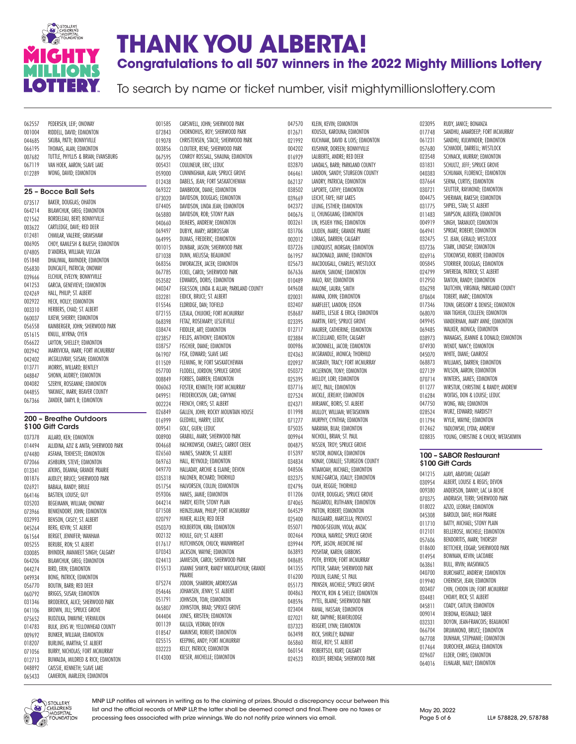

## **THANK YOU ALBERTA! Congratulations to all 507 winners in the 2022 Mighty Millions Lottery**

To search by name or ticket number, visit mightymillionslottery.com

| 062557                     | PEDERSEN, LEIF; ONOWAY                                            |
|----------------------------|-------------------------------------------------------------------|
| 001004                     | RIDDELL, DAVID; EDMONTON                                          |
| 044685                     | SKUBA, PATTI; BONNYVILLE                                          |
| 066195                     | THOMAS, ALAN; EDMONTON                                            |
| 007682                     | TUTTLE, PHYLLIS & BRIAN; EVANSBURG                                |
| 067119                     | VAN HOEK, AARON; SLAVE LAKE                                       |
| 012289                     | WONG, DAVID; EDMONTON                                             |
|                            |                                                                   |
|                            | 25 – Bocce Ball Sets                                              |
| 073517                     | BAKER, DOUGLAS; OHATON                                            |
| 064214                     | BILAWCHUK, GREG; EDMONTON                                         |
| 021562                     | BORDELEAU, BERT; BONNYVILLE                                       |
| 003622                     | CARTLEDGE, DAVE; RED DEER                                         |
| 012481                     | CHMILAR, VALERIE; GRIMSHAW                                        |
| 006905                     | CHOY, KAMLESH & RAJESH; EDMONTON                                  |
| 074805                     | D'ANDREA, WILLIAM; VULCAN                                         |
| 051848                     | DHALIWAL, RAVINDER; EDMONTON                                      |
| 056830                     | DUNCALFE, PATRICIA; ONOWAY                                        |
| 039666                     | ELCHUK, EVELYN; BONNYVILLE                                        |
| 041253                     | GARCIA, GENEVIEVE; EDMONTON                                       |
| 024269                     | HALL, PHILIP; ST. ALBERT                                          |
| 002922                     | HECK, HOLLY; EDMONTON                                             |
| 003310                     | HERBERS, CHAD; ST. ALBERT                                         |
| 060037                     | ILKEW, SHERRY; EDMONTON<br>KAINBERGER, JOHN; SHERWOOD PARK        |
| 056558<br>051615           | KNULL, MYRNA; OYEN                                                |
| 056622                     | LAYTON, SHELLEY; EDMONTON                                         |
| 002942                     | MARKVICKA, MARK; FORT MCMURRAY                                    |
| 042402                     | MCGILLIVRAY, SUSAN; EDMONTON                                      |
| 013771                     | MORRIS, WILLARD; BENTLEY                                          |
| 048847                     | SHONN, AUDREY; EDMONTON                                           |
| 004082                     | SZERYK, ROSEANNE; EDMONTON                                        |
| 044855                     | YAKIMEC, MARK; BEAVER COUNTY                                      |
|                            |                                                                   |
| 067366                     | ZANDER, DARYL B; EDMONTON                                         |
|                            |                                                                   |
|                            | 200 – Breathe Outdoors                                            |
|                            | \$100 Gift Cards                                                  |
| 037378                     | ALLARD, KEN; EDMONTON                                             |
| 014494                     | ALLIDINA, AZIZ & ANITA; SHERWOOD PARK                             |
| 074480<br>072066           | ASFAHA, TEKHESTE; EDMONTON<br>ASHBURN, STEVE; EDMONTON            |
| 013341                     | ATKINS, DEANNA; GRANDE PRAIRIE                                    |
| 001876                     | AUDLEY, BRUCE; SHERWOOD PARK                                      |
| 026921                     | BABALA, RANDY; BRULE                                              |
| 064146                     | BASTIEN, LOUISE; GUY                                              |
| 035203                     | BEGEMANN, WILLIAM; ONOWAY                                         |
| 073966                     | BENKENDORF, JOHN; EDMONTON                                        |
| 032993                     | BENSON, CASEY; ST. ALBERT                                         |
| 045264                     | BERG, KEVIN; ST. ALBERT                                           |
| 061564                     | BERGET, JENNIFER; WANHAM                                          |
| 005255                     | BERUBE, RON; ST. ALBERT                                           |
| 030085                     | BHINDER, MANMEET SINGH; CALGARY                                   |
| 064206                     | BILAWCHUK, GREG; EDMONTON                                         |
| 044274<br>049934           | BIRD, ERIN; EDMONTON                                              |
| 056770                     | BONG, PATRICK; EDMONTON<br>BOUTIN, BARB; RED DEER                 |
| 060792                     | BRIGGS, SUSAN; EDMONTON                                           |
| 031346                     | BRODERICK, ALICE; SHERWOOD PARK                                   |
| 041106                     | BROWN, JILL; SPRUCE GROVE                                         |
| 075652                     | BUDZILKA, DWAYNE; VERMILION                                       |
| 014783                     | BULK, JENS W; YELLOWHEAD COUNTY                                   |
| 009692                     | BUNKER, WILLIAM; EDMONTON                                         |
| 018207                     | BURLING, MARTHA; ST. ALBERT                                       |
|                            | BURRY, NICHOLAS; FORT MCMURRAY                                    |
| 071056<br>012713<br>048892 | BUWALDA, MILDRED & RICK; EDMONTON<br>CAISSIE, KENNETH; SLAVE LAKE |

001585 CARSWELL, JOHN; SHERWOOD PARK<br>072843 CHORNOHUS, ROY; SHERWOOD PARK CHORNOHUS, ROY; SHERWOOD PARK CHRISTENSEN, STACIE; SHERWOOD PARK CLOUTIER, RENE; SHERWOOD PARK CONROY ROSSALL, SHAUNA; EDMONTON COULINEUR, ERIC; LEDUC CUNNINGHAM, ALAN; SPRUCE GROVE DABELS, JEAN; FORT SASKATCHEWAN DANBROOK, DIANE; EDMONTON 073020 DAVIDSON, DOUGLAS; EDMONTON<br>074405 DAVIDSON LINDA JEAN: EDMONTO DAVIDSON, LINDA JEAN; EDMONTON DAVIDSON, ROB; STONY PLAIN 040660 DEMERS, ANDREW; EDMONTON<br>069497 DIJRYK MARY: ARDROSSAN DUBYK, MARY; ARDROSSAN DUMAS, FREDERIC; EDMONTON DUNBAR, JASON; SHERWOOD PARK DUNN, MELISSA; BEAUMONT DWORACZEK, JACEK; EDMONTON ECKEL, CAROL; SHERWOOD PARK EDWARDS, DORIS; EDMONTON EGILSSON, LINDA & ALLAN; PARKLAND COUNTY 032281 EIDICK, BRUCE; ST. ALBERT ELDRIDGE, DAN; TOFIELD EZEALA, CHIJIOKE; FORT MCMURRAY 068398 FETAZ, ROSEMARY; LESLIEVILLE<br>038474 FIDDLER, ART; EDMONTON 038474 FIDDLER, ART; EDMONTON<br>023857 FIELDS, ANTHONY; EDMON FIELDS, ANTHONY; EDMONTON FISCHER, DIANE; EDMONTON FISK, EDWARD; SLAVE LAKE FLEMING, W; FORT SASKATCHEWAN FLODELL, JORDON; SPRUCE GROVE 008849 FORBES, DARREN; EDMONTON<br>006063 FOSTER, KENNETH; FORT MCMI FOSTER, KENNETH; FORT MCMURRAY FREDERICKSON, CARL; GWYNNE 002224 FRENCH, CHRIS; ST. ALBERT<br>026849 GALLEN JOHN: ROCKY MOLL GALLEN, JOHN; ROCKY MOUNTAIN HOUSE GLEDHILL, HARRY; LEDUC GOLC, GUEN; LEDUC GRABILL, MARK; SHERWOOD PARK HACHKOWSKI, CHARLES; CARROT CREEK HAINES, SHARON; ST. ALBERT 069763 HALL, REYNOLD; EDMONTON<br>049770 HALLADAY, ARCHIE & ELAINE: HALLADAY, ARCHIE & ELAINE; DEVON HALONEN, RICHARD; THORHILD 051754 HALVORSEN, COLLIN; EDMONTON<br>059306 HANFS JAMIF: EDMONTON HANES, JAMIE: EDMONTON 044214 HARDY, KEITH; STONY PLAIN HEINZELMAN, PHILIP; FORT MCMURRAY HIMER, ALLEN; RED DEER HOLBERTON, KIRA; EDMONTON HOULE, GUY; ST. ALBERT HUTCHINSON, CHUCK; WAINWRIGHT JACKSON, WAYNE; EDMONTON JAMIESON, CAROL; SHERWOOD PARK JOANNE SHMYR, RANDY NIKOLAYCHUK; GRANDE PRAIRIE JODOIN, SHARRON; ARDROSSAN JOHANSEN, JENNY; ST. ALBERT JOHNSON, TOM; EDMONTON JOHNSTON, BRAD; SPRUCE GROVE JONES, KRISTEN; EDMONTON KALUZA, VEDRAN; DEVON KAMINSKI, ROBERT; EDMONTON KEEPING, ANDY; FORT MCMURRAY KELLY, PATRICK; EDMONTON KIESER, MICHELLE; EDMONTON

047570 KLEIN, KEVIN; EDMONTON<br>012671 KOUSOL, KAROUNA; EDMO KOUSOL, KAROUNA; EDMONTON KUCHMAK, DAVID & LOIS; EDMONTON KUSHNIR, DOREEN; BONNYVILLE LALIBERTE, ANDRE; RED DEER LANDALS, BARB; PARKLAND COUNTY 046461 LANDON, SANDY; STURGEON COUNTY<br>062137 LANDRY, PATRICIA; EDMONTON LANDRY, PATRICIA; EDMONTON 038502 LAPORTE CATHY: EDMONTON 039669 LEICHT, FAYE; HAY LAKES<br>042372 LEUNG, ESTHER; EDMONT LEUNG, ESTHER; EDMONTON LI, CHUNGUANG; EDMONTON 003261 LIN, HSUEH YING; EDMONTON<br>031706 LIJUDEN MARIE: GRANDE PRAI LJUDEN, MARIE; GRANDE PRAIRIE LORAAS, DARREN; CALGARY LUNDQUIST, MORGAN; EDMONTON MACDONALD, JANINE; EDMONTON MACDOUGALL, CHARLES; WESTLOCK MAHON, SIMONE; EDMONTON 010489 MALO, RAY; EDMONTON<br>049608 MALONE, LAURA: SMITH MALONE, LAURA: SMITH MANNA, JOHN; EDMONTON MARFLEET, LANDON; EDSON MARTEL, LESLIE & ERICA; EDMONTON 023395 MARTIN, FAYE; SPRUCE GROVE<br>012717 MAURER, CATHERINE; EDMONT 012717 MAURER, CATHERINE; EDMONTON<br>023884 MCCLELLAND, KEITH; CALGARY MCCLELLAND, KEITH; CALGARY MCDONNELL, JACOB; EDMONTON 024363 MCGRANDLE, MONICA; THORHILD<br>020937 MCGRATH, TRACY; FORT MCMURR MCGRATH, TRACY; FORT MCMURRAY MCLERNON, TONY; EDMONTON 025395 MELLOY, LORI; EDMONTON<br>037716 METZ, PAUL; EDMONTON METZ, PAUL; EDMONTON MICKLE, JEREMY; EDMONTON 024371 MIRJANIC, BORIS; ST. ALBERT<br>011998 MIIIIOY WIIIIAM·WFTASKIW MULLOY, WILLIAM; WETASKIWIN MURPHY, CYNTHIA; EDMONTON NARAYAN, BIJAI; EDMONTON NICHOLL, BRIAN; ST. PAUL NISSEN, TROY; SPRUCE GROVE NISTOR, MONICA; EDMONTON 034834 NONAY, CORALEE; STURGEON COUNTY<br>048506 NTIAMOAH, MICHAEL: EDMONTON NTIAMOAH, MICHAEL; EDMONTON NUNEZ-GARCIA, JOALLY; EDMONTON 024796 OLAH, REGGIE; THORHILD<br>011206 OLIVER DOUGLAS: SPRIJC OLIVER, DOUGLAS: SPRUCE GROVE PAGLIAROLI, RUTH-ANN; EDMONTON PATTON, ROBERT; EDMONTON PAULGAARD, MARCELLA; PROVOST PINDOG-SEGUIN, VIOLA; ANZAC 002464 POONJA, NAVROZ; SPRUCE GROVE<br>039944 POPE, JASON; MEDICINE HAT POPE, JASON; MEDICINE HAT POSHTAR, KAREN; GIBBONS 048685 POTH, BYRON; FORT MCMURRAY<br>041355 POTTER, SARAH; SHERWOOD PAR POTTER, SARAH; SHERWOOD PARK POULIN, ELAINE; ST. PAUL 055173 PRINSEN, MICHELE; SPRUCE GROVE<br>004863 PROCYK RON & SHELLY: EDMONTOL PROCYK, RON & SHELLY; EDMONTON PYTEL, BLAINE; SHERWOOD PARK RAHAL, HASSAN; EDMONTON RAY, DAPHNE; BEAVERLODGE REIGERT, LYNN; EDMONTON RICK, SHIRLEY; RADWAY 065860 RIEGE, ROY; ST. ALBERT<br>060154 ROBERTSOL KURT: CALC ROBERTSOJ, KURT; CALGARY ROLOFF, BRENDA; SHERWOOD PARK

 RUDY, JANICE; BONANZA SANDHU, AMARDEEP; FORT MCMURRAY SANDHU, KULWINDER; EDMONTON SCHMODE, DARRELL; WESTLOCK SCHNACK, MURRAY; EDMONTON SCHULTZ, JEFF; SPRUCE GROVE SCHUMAN, FLORENCE; EDMONTON SERNA, CURTIS; EDMONTON SEUTTER, RAYMOND; EDMONTON SHERMAN, RAKESH; EDMONTON SHPIEL, STAN; ST. ALBERT SIMPSON, ALBERTA; EDMONTON 004919 SINGH, TARANJOT; EDMONTON<br>064941 SPROAT, ROBERT: EDMONTON SPROAT, ROBERT: EDMONTON ST. JEAN, GERALD; WESTLOCK STARK, LINDSAY; EDMONTON STOKOWSKI, ROBERT; EDMONTON STORRIER, DOUGLAS; EDMONTON SWEREDA, PATRICK; ST. ALBERT TANTON, RANDY; EDMONTON TAUTCHIN, VIRGINIA; PARKLAND COUNTY TOBERT, MARC; EDMONTON TONN, GREGORY & DENISE; EDMONTON VAN TIGHEM, COLLEEN; EDMONTON VANDERHAM, MARY ANNE; EDMONTON WALKER, MONICA; EDMONTON WANAGAS, JEANNIE & DONALD; EDMONTON WENDT, NANCY; EDMONTON WHITE, DIANE; CAMROSE WILLIAMS, DARREN; EDMONTON WILSON, AARON; EDMONTON 070714 WINTERS, JAMES; EDMONTON<br>011277 WIRSTUK, CHRISTINE & RANDY WIRSTUK, CHRISTINE & RANDY; ANDREW WOITAS, DON & LOUISE; LEDUC 047750 WONG, WAI; EDMONTON<br>028524 WURZ, EDWARD: HARDIS WURZ, EDWARD: HARDISTY WYLIE, WAYNE; EDMONTON YADLOWSKI, LYDIA; ANDREW YOUNG, CHRISTINE & CHUCK; WETASKIWIN

#### 100 – SABOR Restaurant \$100 Gift Cards

 AJAYI, ABAYOMI; CALGARY ALBERT, LOUISE & REGIS; DEVON ANDERSON, DANNY; LAC LA BICHE ANDRIASH, TERRI; SHERWOOD PARK AZIZO, LEORAH; EDMONTON BAROLDI, DAVE; HIGH PRAIRIE BATTY, MICHAEL; STONY PLAIN BELLEROSE, MICHELE; EDMONTON BENDORITIS, MARK; THORSBY BETTCHER, EDGAR; SHERWOOD PARK BOWMAN, KEVIN; LACOMBE 063861 BULL, IRVIN; MASKWACIS 040700 BURCHARTZ, ANDREW; EDMONTON<br>019940 CHERNISH, JEAN; EDMONTON CHERNISH, JEAN; EDMONTON CHIN, CHOON LIN; FORT MCMURRAY 034481 CHOMY, RICK; ST. ALBERT<br>045811 COADY, CAITLIN; EDMONT( COADY, CAITLIN; EDMONTON DEBONA, REGINALD; TABER 032331 DOYON, JEAN-FRANCOIS; BEAUMONT<br>066704 DRIIMMOND BRIICE: EDMONTON DRUMMOND, BRUCE; EDMONTON DUNHAM, STEPHANIE; EDMONTON 017464 DUROCHER, ANGELA; EDMONTON<br>029607 FIDER CHRIS: EDMONTON ELDER, CHRIS; EDMONTON ELHALABI, NAILY; EDMONTON



CAMERON, MARLEEN; EDMONTON

MNP LLP notifies all winners in writing as to the claiming of prizes. Should a discrepancy occur between this list and the official records of MNP LLP, the latter shall be deemed correct and final. There are no taxes or processing fees associated with prize winnings. We do not notify prize winners via email. Page 5 of 6 LL# 578828, 29, 578788